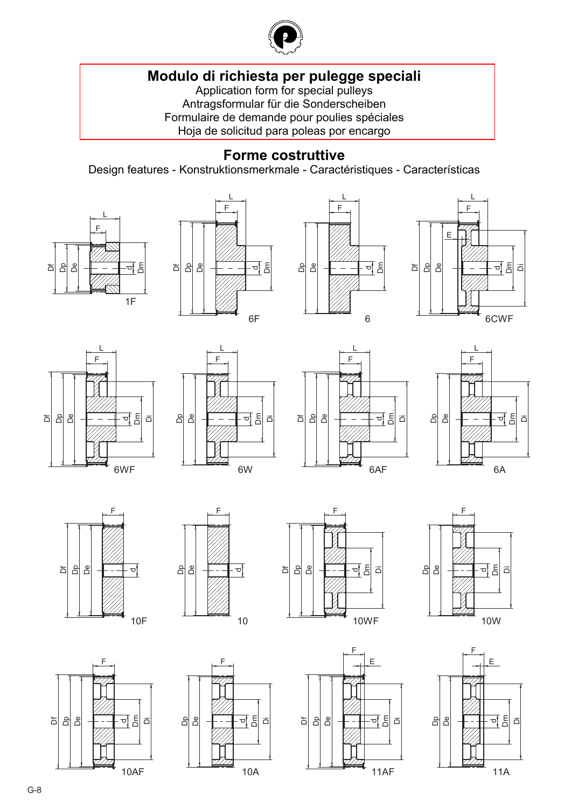

# **[Modulo di richiesta per pulegge speciali](#page--1-0)**

Application form for special pulleys Antragsformular für die Sonderscheiben Formulaire de demande pour poulies spéciales Hoja de solicitud para poleas por encargo

## **Forme costruttive**

Design features - Konstruktionsmerkmale - Caractéristiques - Características